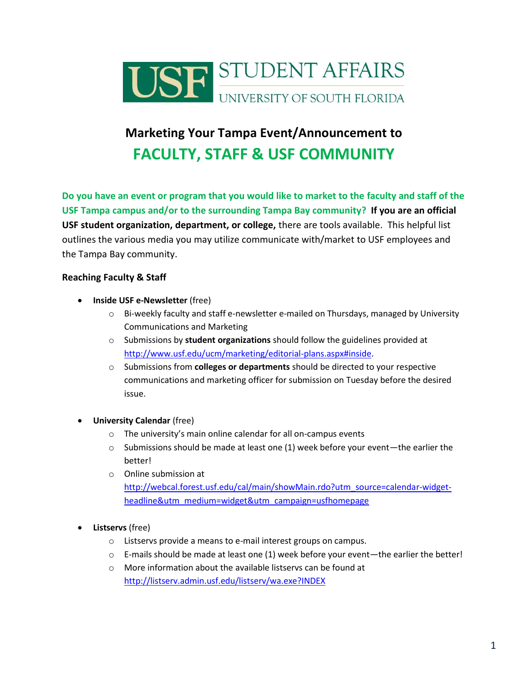

# **Marketing Your Tampa Event/Announcement to FACULTY, STAFF & USF COMMUNITY**

**Do you have an event or program that you would like to market to the faculty and staff of the USF Tampa campus and/or to the surrounding Tampa Bay community? If you are an official USF student organization, department, or college,** there are tools available.This helpful list outlines the various media you may utilize communicate with/market to USF employees and the Tampa Bay community.

## **Reaching Faculty & Staff**

- **•** Inside USF e-Newsletter (free)
	- $\circ$  Bi-weekly faculty and staff e-newsletter e-mailed on Thursdays, managed by University Communications and Marketing
	- o Submissions by **student organizations** should follow the guidelines provided at [http://www.usf.edu/ucm/marketing/editorial-plans.aspx#inside.](http://www.usf.edu/ucm/marketing/editorial-plans.aspx#inside)
	- o Submissions from **colleges or departments** should be directed to your respective communications and marketing officer for submission on Tuesday before the desired issue.
- **University Calendar** (free)
	- o The university's main online calendar for all on-campus events
	- $\circ$  Submissions should be made at least one (1) week before your event—the earlier the better!
	- o Online submission at [http://webcal.forest.usf.edu/cal/main/showMain.rdo?utm\\_source=calendar-widget](http://webcal.forest.usf.edu/cal/main/showMain.rdo?utm_source=calendar-widget-headline&utm_medium=widget&utm_campaign=usfhomepage)[headline&utm\\_medium=widget&utm\\_campaign=usfhomepage](http://webcal.forest.usf.edu/cal/main/showMain.rdo?utm_source=calendar-widget-headline&utm_medium=widget&utm_campaign=usfhomepage)

#### **Listservs** (free)

- o Listservs provide a means to e-mail interest groups on campus.
- $\circ$  E-mails should be made at least one (1) week before your event—the earlier the better!
- o More information about the available listservs can be found at <http://listserv.admin.usf.edu/listserv/wa.exe?INDEX>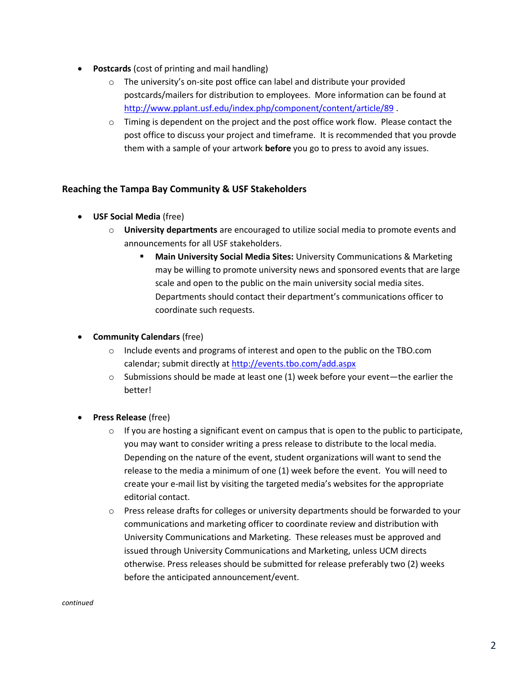- **Postcards** (cost of printing and mail handling)
	- o The university's on-site post office can label and distribute your provided postcards/mailers for distribution to employees. More information can be found at <http://www.pplant.usf.edu/index.php/component/content/article/89> .
	- $\circ$  Timing is dependent on the project and the post office work flow. Please contact the post office to discuss your project and timeframe. It is recommended that you provde them with a sample of your artwork **before** you go to press to avoid any issues.

## **Reaching the Tampa Bay Community & USF Stakeholders**

- **USF Social Media** (free)
	- o **University departments** are encouraged to utilize social media to promote events and announcements for all USF stakeholders.
		- **Main University Social Media Sites:** University Communications & Marketing may be willing to promote university news and sponsored events that are large scale and open to the public on the main university social media sites. Departments should contact their department's communications officer to coordinate such requests.

### **Community Calendars** (free)

- o Include events and programs of interest and open to the public on the TBO.com calendar; submit directly a[t http://events.tbo.com/add.aspx](http://events.tbo.com/add.aspx)
- $\circ$  Submissions should be made at least one (1) week before your event—the earlier the better!
- **Press Release** (free)
	- $\circ$  If you are hosting a significant event on campus that is open to the public to participate, you may want to consider writing a press release to distribute to the local media. Depending on the nature of the event, student organizations will want to send the release to the media a minimum of one (1) week before the event. You will need to create your e-mail list by visiting the targeted media's websites for the appropriate editorial contact.
	- $\circ$  Press release drafts for colleges or university departments should be forwarded to your communications and marketing officer to coordinate review and distribution with University Communications and Marketing. These releases must be approved and issued through University Communications and Marketing, unless UCM directs otherwise. Press releases should be submitted for release preferably two (2) weeks before the anticipated announcement/event.